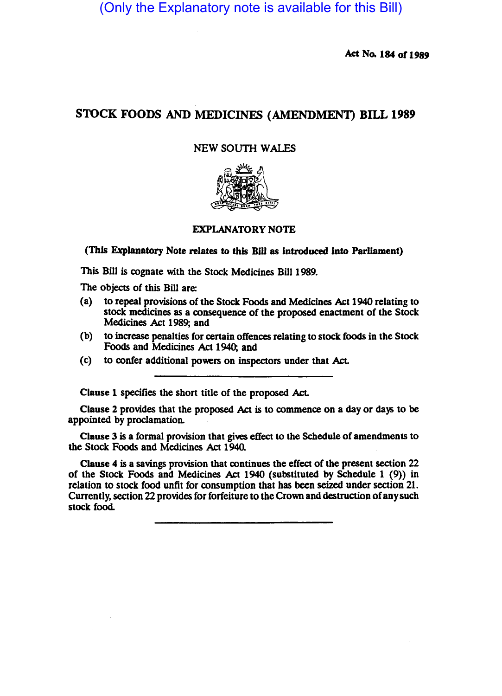(Only the Explanatory note is available for this Bill)

Act No. 184 of 1989

# S10CK FOODS AND MEDICINES (AMENDMENT) BILL 1989

# NEW SOUTH WALES



## EXPLANATORY NOTE

(This Explanatory Note relates to this Bill as introduced into Parliament)

This Bill is cognate with the Stock Medicines Bill 1989.

The Objects of this Bill are:

- (a) to repeal provisions of the Stock Foods and Medicines Act 1940 relating to stock medicines as a consequence of the proposed enactment of the Stock Medicines Act 1989; and
- (b) to increase penalties for certain offences relating to stock foods in the Stock Foods and Medicines Act 1940; and
- (c) to confer additional powers on inspectors under that Act.

Clause 1 specifies the short title of the proposed Act.

Clause 2 provides that the proposed Act is to commence on a day or days to be appointed by proclamation.

Clause 3 is a formal prOvision that gives effect to the Schedule of amendments to the Stock Foods and Medicines Act 1940.

Clause 4 is a savings provision that continues the effect of the present section 22 of the Stock Foods and Medicines Act 1940 (substituted by Schedule 1 (9)) in relation to stock food unfit for consumption that has been seized under section 21. Currently, section 22 provides for forfeiture to the Crown and destruction of any such stock food.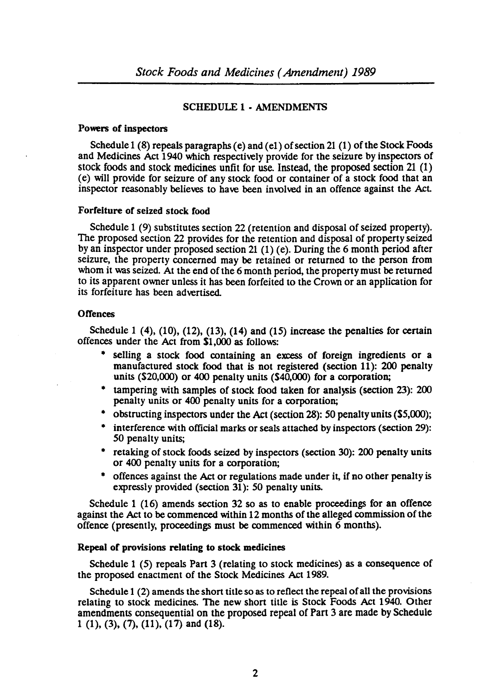### SCHEDULE 1· AMENDMENTS

#### Powers of inspectors

Schedule 1 (8) repeals paragraphs (e) and (el) of section 21 (1) of the Stock FoOds and Medicines Act 1940 which respectively provide for the seizure by inspectors of stock foods and stock medicines unfit for use. Instead, the proposed section 21 (1) (e) will provide for seizure of any stock food or rontainer of a stock food that an inspector reasonably believes to have been involved in an offence against the Act

### Forfeiture of seized stock food

Schedule 1 (9) substitutes section 22 (retention and disposal of seized property). The proposed section 22 provides for the retention and disposal of property seized by an inspector under proposed section 21 (1) (e). During the 6 month period after seizure, the property concerned may be retained or returned to the person from whom it was seized. At the end of the 6 month period, the property must be returned to its apparent owner unless it has been forfeited to the Crown or an application for its forfeiture has been advertised.

#### **Offences**

Schedule 1  $(4)$ ,  $(10)$ ,  $(12)$ ,  $(13)$ ,  $(14)$  and  $(15)$  increase the penalties for certain offences under the Act from \$1,000 as follows:

- selling a stock food rontaining an excess of foreign ingredients or a manufactured stock food that is not registered (section 11): 200 penalty units  $(S20,000)$  or 400 penalty units  $(S40,000)$  for a corporation;
- tampering with samples of stock food taken for analysis (section 23): 200 penalty units or 400 penalty units for a corporation;
- obstructing inspectors under the Act (section 28): SO penalty units (S5,000);
- interference with official marks or seals attached by inspectors (section 29): SO penalty units;
- retaking of stock foods seized by inspectors (section 30): 200 penalty units or 400 penalty units for a corporation;
- offences against the Act or regulations made under it, if no other penalty is expressly provided (section 31): SO penalty units.

Schedule 1 (16) amends section 32 so as to enable proceedings for an offence against the Act to be commenced within 12 months of the alleged commission of the offence (presently, proceedings must be rommenced within 6 months).

#### Repeal of provisions relating to stock medicines

Schedule 1 (5) repeals Part 3 (relating to stock medicines) as a consequence of the proposed enactment of the Stock Medicines Act 1989.

Schedule 1 (2) amends the short title so as to reflect the repeal of all the provisions relating to stock medicines. The new short title is Stock Foods Act 1940. Other amendments consequential on the proposed repeal of Part 3 are made by Schedule 1 (1), (3), (7), (11), (17) and (18).